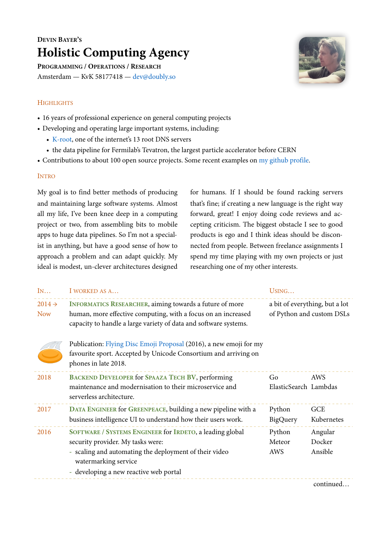## **DEVIN BAYER'S Holistic Computing Agency**

**PROGRAMMING / OPERATIONS / RESEARCH** Amsterdam — KvK 58177418 — [dev@doubly.so](mailto:dev@doubly.so)



## **HIGHLIGHTS**

- 16 years of professional experience on general computing projects
- Developing and operating large important systems, including:
	- [K-root](https://www.ripe.net/analyse/dns/k-root), one of the internet's 13 root DNS servers
	- the data pipeline for Fermilab's Tevatron, the largest particle accelerator before CERN
- Contributions to about 100 open source projects. Some recent examples on [my github profile.](https://github.com/akvadrako)

## INTRO

My goal is to find better methods of producing and maintaining large software systems. Almost all my life, I've been knee deep in a computing project or two, from assembling bits to mobile apps to huge data pipelines. So I'm not a specialist in anything, but have a good sense of how to approach a problem and can adapt quickly. My ideal is modest, un-clever architectures designed for humans. If I should be found racking servers that's fine; if creating a new language is the right way forward, great! I enjoy doing code reviews and accepting criticism. The biggest obstacle I see to good products is ego and I think ideas should be disconnected from people. Between freelance assignments I spend my time playing with my own projects or just researching one of my other interests.

| IN                               | I WORKED AS A                                                                                                                                                                                                           | USING                                                       |                              |
|----------------------------------|-------------------------------------------------------------------------------------------------------------------------------------------------------------------------------------------------------------------------|-------------------------------------------------------------|------------------------------|
| $2014 \rightarrow$<br><b>Now</b> | <b>INFORMATICS RESEARCHER, aiming towards a future of more</b><br>human, more effective computing, with a focus on an increased<br>capacity to handle a large variety of data and software systems.                     | a bit of everything, but a lot<br>of Python and custom DSLs |                              |
|                                  | Publication: Flying Disc Emoji Proposal (2016), a new emoji for my<br>favourite sport. Accepted by Unicode Consortium and arriving on<br>phones in late 2018.                                                           |                                                             |                              |
| 2018                             | <b>BACKEND DEVELOPER for SPAAZA TECH BV, performing</b><br>maintenance and modernisation to their microservice and<br>serverless architecture.                                                                          | Go<br>AWS<br>ElasticSearch Lambdas                          |                              |
| 2017                             | DATA ENGINEER for GREENPEACE, building a new pipeline with a<br>business intelligence UI to understand how their users work.                                                                                            | Python<br>BigQuery                                          | <b>GCE</b><br>Kubernetes     |
| 2016                             | SOFTWARE / SYSTEMS ENGINEER for IRDETO, a leading global<br>security provider. My tasks were:<br>- scaling and automating the deployment of their video<br>watermarking service<br>developing a new reactive web portal | Python<br>Meteor<br>AWS                                     | Angular<br>Docker<br>Ansible |

continued…